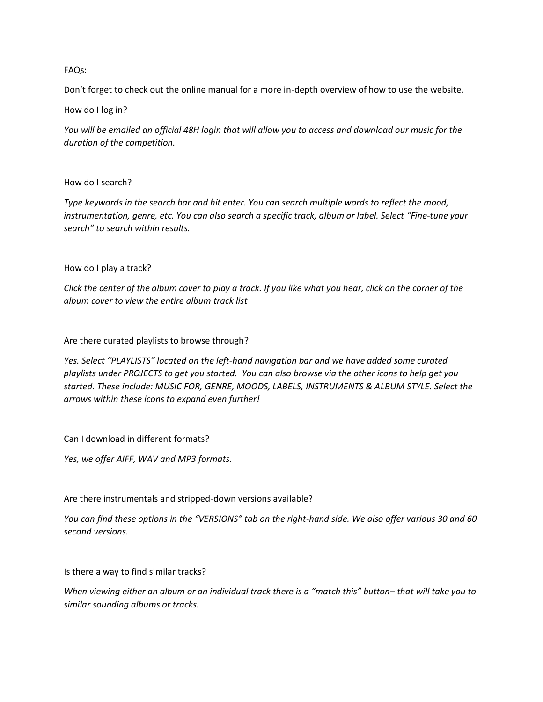## FAQs:

Don't forget to check out the online manual for a more in-depth overview of how to use the website.

How do I log in?

*You will be emailed an official 48H login that will allow you to access and download our music for the duration of the competition.*

## How do I search?

*Type keywords in the search bar and hit enter. You can search multiple words to reflect the mood, instrumentation, genre, etc. You can also search a specific track, album or label. Select "Fine-tune your search" to search within results.*

## How do I play a track?

*Click the center of the album cover to play a track. If you like what you hear, click on the corner of the album cover to view the entire album track list*

Are there curated playlists to browse through?

*Yes. Select "PLAYLISTS" located on the left-hand navigation bar and we have added some curated playlists under PROJECTS to get you started. You can also browse via the other icons to help get you started. These include: MUSIC FOR, GENRE, MOODS, LABELS, INSTRUMENTS & ALBUM STYLE. Select the arrows within these icons to expand even further!*

Can I download in different formats?

*Yes, we offer AIFF, WAV and MP3 formats.*

Are there instrumentals and stripped-down versions available?

*You can find these options in the "VERSIONS" tab on the right-hand side. We also offer various 30 and 60 second versions.*

Is there a way to find similar tracks?

*When viewing either an album or an individual track there is a "match this" button– that will take you to similar sounding albums or tracks.*